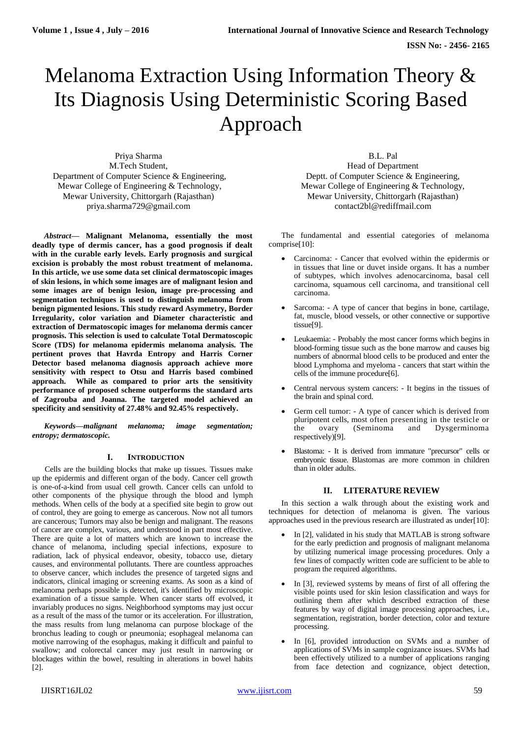# Melanoma Extraction Using Information Theory & Its Diagnosis Using Deterministic Scoring Based Approach

Priya Sharma M.Tech Student, Department of Computer Science & Engineering, Mewar College of Engineering & Technology, Mewar University, Chittorgarh (Rajasthan) [priya.sharma729@gmail.com](mailto:priya.sharma729@gmail.com)

*Abstract***— Malignant Melanoma, essentially the most deadly type of dermis cancer, has a good prognosis if dealt with in the curable early levels. Early prognosis and surgical excision is probably the most robust treatment of melanoma. In this article, we use some data set clinical dermatoscopic images of skin lesions, in which some images are of malignant lesion and some images are of benign lesion, image pre-processing and segmentation techniques is used to distinguish melanoma from benign pigmented lesions. This study reward Asymmetry, Border Irregularity, color variation and Diameter characteristic and extraction of Dermatoscopic images for melanoma dermis cancer prognosis. This selection is used to calculate Total Dermatoscopic Score (TDS) for melanoma epidermis melanoma analysis. The pertinent proves that Havrda Entropy and Harris Corner Detector based melanoma diagnosis approach achieve more sensitivity with respect to Otsu and Harris based combined approach. While as compared to prior arts the sensitivity performance of proposed scheme outperforms the standard arts of Zagrouba and Joanna. The targeted model achieved an specificity and sensitivity of 27.48% and 92.45% respectively.**

*Keywords—malignant melanoma; image segmentation; entropy; dermatoscopic.*

# **I. INTRODUCTION**

Cells are the building blocks that make up tissues. Tissues make up the epidermis and different organ of the body. Cancer cell growth is one-of-a-kind from usual cell growth. Cancer cells can unfold to other components of the physique through the blood and lymph methods. When cells of the body at a specified site begin to grow out of control, they are going to emerge as cancerous. Now not all tumors are cancerous; Tumors may also be benign and malignant. The reasons of cancer are complex, various, and understood in part most effective. There are quite a lot of matters which are known to increase the chance of melanoma, including special infections, exposure to radiation, lack of physical endeavor, obesity, tobacco use, dietary causes, and environmental pollutants. There are countless approaches to observe cancer, which includes the presence of targeted signs and indicators, clinical imaging or screening exams. As soon as a kind of melanoma perhaps possible is detected, it's identified by microscopic examination of a tissue sample. When cancer starts off evolved, it invariably produces no signs. Neighborhood symptoms may just occur as a result of the mass of the tumor or its acceleration. For illustration, the mass results from lung melanoma can purpose blockage of the bronchus leading to cough or pneumonia; esophageal melanoma can motive narrowing of the esophagus, making it difficult and painful to swallow; and colorectal cancer may just result in narrowing or blockages within the bowel, resulting in alterations in bowel habits [2].

B.L. Pal Head of Department Deptt. of Computer Science & Engineering, Mewar College of Engineering & Technology, Mewar University, Chittorgarh (Rajasthan) [contact2bl@rediffmail.com](mailto:contact2bl@rediffmail.com)

The fundamental and essential categories of melanoma comprise[10]:

- Carcinoma: Cancer that evolved within the epidermis or in tissues that line or duvet inside organs. It has a number of subtypes, which involves adenocarcinoma, basal cell carcinoma, squamous cell carcinoma, and transitional cell carcinoma.
- Sarcoma: A type of cancer that begins in bone, cartilage, fat, muscle, blood vessels, or other connective or supportive tissue[9].
- Leukaemia: Probably the most cancer forms which begins in blood-forming tissue such as the bone marrow and causes big numbers of abnormal blood cells to be produced and enter the blood Lymphoma and myeloma - cancers that start within the cells of the immune procedure[6].
- Central nervous system cancers: It begins in the tissues of the brain and spinal cord.
- Germ cell tumor: A type of cancer which is derived from pluripotent cells, most often presenting in the testicle or the ovary (Seminoma and Dysgerminoma respectively)[9].
- Blastoma: It is derived from immature "precursor" cells or embryonic tissue. Blastomas are more common in children than in older adults.

# **II. LITERATURE REVIEW**

In this section a walk through about the existing work and techniques for detection of melanoma is given. The various approaches used in the previous research are illustrated as under[10]:

- In [2], validated in his study that MATLAB is strong software for the early prediction and prognosis of malignant melanoma by utilizing numerical image processing procedures. Only a few lines of compactly written code are sufficient to be able to program the required algorithms.
- In [3], reviewed systems by means of first of all offering the visible points used for skin lesion classification and ways for outlining them after which described extraction of these features by way of digital image processing approaches, i.e., segmentation, registration, border detection, color and texture processing.
- In [6], provided introduction on SVMs and a number of applications of SVMs in sample cognizance issues. SVMs had been effectively utilized to a number of applications ranging from face detection and cognizance, object detection,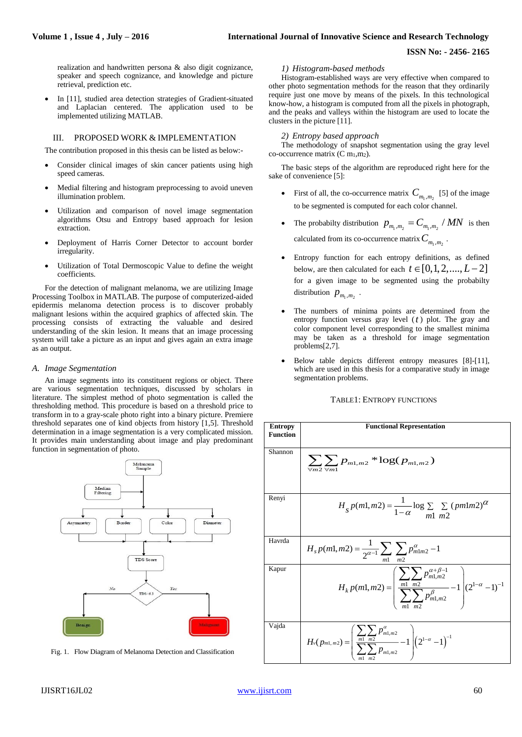## **ISSN No: - 2456- 2165**

realization and handwritten persona & also digit cognizance, speaker and speech cognizance, and knowledge and picture retrieval, prediction etc.

 In [11], studied area detection strategies of Gradient-situated and Laplacian centered. The application used to be implemented utilizing MATLAB.

## III. PROPOSED WORK & IMPLEMENTATION

The contribution proposed in this thesis can be listed as below:-

- Consider clinical images of skin cancer patients using high speed cameras.
- Medial filtering and histogram preprocessing to avoid uneven illumination problem.
- Utilization and comparison of novel image segmentation algorithms Otsu and Entropy based approach for lesion extraction.
- Deployment of Harris Corner Detector to account border irregularity.
- Utilization of Total Dermoscopic Value to define the weight coefficients.

For the detection of malignant melanoma, we are utilizing Image Processing Toolbox in MATLAB. The purpose of computerized-aided epidermis melanoma detection process is to discover probably malignant lesions within the acquired graphics of affected skin. The processing consists of extracting the valuable and desired understanding of the skin lesion. It means that an image processing system will take a picture as an input and gives again an extra image as an output.

## *A. Image Segmentation*

An image segments into its constituent regions or object. There are various segmentation techniques, discussed by scholars in literature. The simplest method of photo segmentation is called the thresholding method. This procedure is based on a threshold price to transform in to a gray-scale photo right into a binary picture. Premiere threshold separates one of kind objects from history [1,5]. Threshold determination in a image segmentation is a very complicated mission. It provides main understanding about image and play predominant function in segmentation of photo.



Fig. 1. Flow Diagram of Melanoma Detection and Classification

#### *1) Histogram-based methods*

Histogram-established ways are very effective when compared to other photo segmentation methods for the reason that they ordinarily require just one move by means of the pixels. In this technological know-how, a histogram is computed from all the pixels in photograph, and the peaks and valleys within the histogram are used to locate the clusters in the picture [11].

#### *2) Entropy based approach*

The methodology of snapshot segmentation using the gray level co-occurrence matrix  $(C m_1, m_2)$ .

The basic steps of the algorithm are reproduced right here for the sake of convenience [5]:

- First of all, the co-occurrence matrix  $C_{m_1,m_2}$  [5] of the image to be segmented is computed for each color channel.
- The probabilty distribution  $p_{m_1,m_2} = C_{m_1,m_2} / MN$  is then calculated from its co-occurrence matrix  $C_{m_1,m_2}$  .
- Entropy function for each entropy definitions, as defined below, are then calculated for each  $t \in [0,1,2,....,L-2]$ for a given image to be segmented using the probabilty distribution  $p_{m_1,m_2}$ .
- The numbers of minima points are determined from the entropy function versus gray level ( *t* ) plot. The gray and color component level corresponding to the smallest minima may be taken as a threshold for image segmentation problems[2,7].
- Below table depicts different entropy measures [8]-[11], which are used in this thesis for a comparative study in image segmentation problems.

## TABLE1: ENTROPY FUNCTIONS

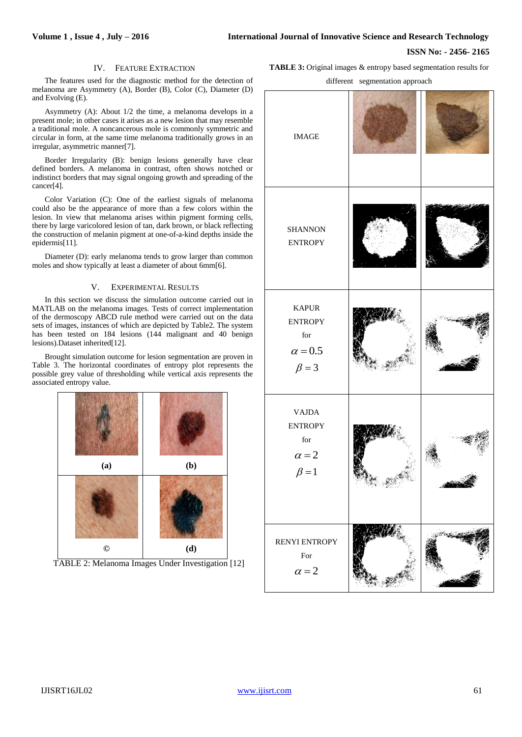## **ISSN No: - 2456- 2165**

## IV. FEATURE EXTRACTION

The features used for the diagnostic method for the detection of melanoma are Asymmetry (A), Border (B), Color (C), Diameter (D) and Evolving (E).

Asymmetry (A): About 1/2 the time, a melanoma develops in a present mole; in other cases it arises as a new lesion that may resemble a traditional mole. A noncancerous mole is commonly symmetric and circular in form, at the same time melanoma traditionally grows in an irregular, asymmetric manner[7].

Border Irregularity (B): benign lesions generally have clear defined borders. A melanoma in contrast, often shows notched or indistinct borders that may signal ongoing growth and spreading of the cancer[4].

Color Variation (C): One of the earliest signals of melanoma could also be the appearance of more than a few colors within the lesion. In view that melanoma arises within pigment forming cells, there by large varicolored lesion of tan, dark brown, or black reflecting the construction of melanin pigment at one-of-a-kind depths inside the epidermis[11].

Diameter (D): early melanoma tends to grow larger than common moles and show typically at least a diameter of about 6mm[6].

## V. EXPERIMENTAL RESULTS

In this section we discuss the simulation outcome carried out in MATLAB on the melanoma images. Tests of correct implementation of the dermoscopy ABCD rule method were carried out on the data sets of images, instances of which are depicted by Table2. The system has been tested on 184 lesions (144 malignant and 40 benign lesions).Dataset inherited[12].

Brought simulation outcome for lesion segmentation are proven in Table 3. The horizontal coordinates of entropy plot represents the possible grey value of thresholding while vertical axis represents the associated entropy value.





**TABLE 3:** Original images & entropy based segmentation results for

different segmentation approach

| <b>IMAGE</b>                                                                            |  |
|-----------------------------------------------------------------------------------------|--|
| <b>SHANNON</b><br><b>ENTROPY</b>                                                        |  |
| <b>KAPUR</b><br><b>ENTROPY</b><br>$\operatorname{for}$<br>$\alpha = 0.5$<br>$\beta = 3$ |  |
| <b>VAJDA</b><br><b>ENTROPY</b><br>$\operatorname{for}$<br>$\alpha = 2$<br>$\beta = 1$   |  |
| RENYI ENTROPY<br>For<br>$\alpha = 2$                                                    |  |